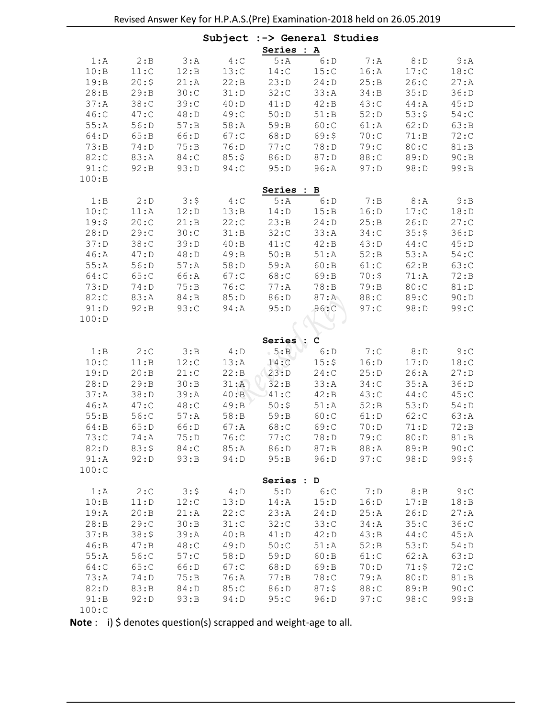|         |       |         | Subject | :-> General Studies |                              |         |         |       |
|---------|-------|---------|---------|---------------------|------------------------------|---------|---------|-------|
|         |       |         |         | Series : A          |                              |         |         |       |
| 1:A     | 2:B   | 3:A     | 4:C     | 5:A                 | $\overline{\phantom{a}}$ 6:D | 7: A    | 8: D    | 9: A  |
| 10:B    | 11:C  | 12:B    | 13:C    | 14:C                | 15:C                         | 16:A    | 17:C    | 18:C  |
| 19:B    | 20:5  | 21:A    | 22:B    | 23:D                | 24: D                        | 25:B    | 26:C    | 27: A |
| 28:B    | 29:B  | 30:C    | 31: D   | 32:C                | 33:A                         | 34:B    | 35:D    | 36: D |
| 37: A   | 38:C  | 39:C    | 40:D    | 41: D               | 42:B                         | 43:C    | 44: A   | 45:D  |
| $46:$ C | 47:C  | 48: D   | 49:C    | 50: D               | 51:B                         | 52: D   | 53:5    | 54:   |
| 55:A    | 56:D  | 57: B   | $58:$ A | 59:B                | 60:C                         | 61:A    | 62: D   | 63:B  |
| 64: D   | 65:B  | 66:D    | 67:C    | 68:D                | 69:5                         | 70:C    | 71:B    | 72:   |
| 73:B    | 74: D | 75:B    | 76: D   | 77:C                | 78: D                        | 79: C   | 80:C    | 81:B  |
| 82:C    | 83:A  | 84:C    | 85:5    | 86:D                | 87: D                        | 88:C    | 89:D    | 90:B  |
| 91:C    | 92: B | 93: D   | 94:C    | 95: D               | 96:A                         | 97: D   | 98:D    | 99:B  |
| 100:B   |       |         |         |                     |                              |         |         |       |
|         |       |         |         | Series : B          |                              |         |         |       |
| 1:B     | 2: D  | 3:5     | 4: C    | 5:A                 | 6: D                         | 7: B    | 8: A    | 9:B   |
| 10:C    | 11:A  | 12: D   | 13:B    | 14: D               | 15:B                         | 16: D   | 17:C    | 18: D |
| 19:5    | 20:C  | 21:B    | 22:C    | 23:B                | 24: D                        | 25:B    | 26: D   | 27:   |
| 28: D   | 29:C  | 30:C    | 31:B    | 32:C                | 33:A                         | $34:$ C | 35:5    | 36: D |
| 37: D   | 38:C  | 39:D    | 40:B    | 41:C                | 42:B                         | 43: D   | $44:$ C | 45:D  |
| 46:A    | 47: D | 48: D   | 49:B    | 50:B                | 51:A                         | 52: B   | 53:A    | 54:   |
| 55:A    | 56: D | 57:A    | 58: D   | 59: A               | 60:B                         | 61:C    | 62: B   | 63:C  |
| 64:C    | 65:C  | 66:A    | 67:C    | 68:C                | 69:B                         | 70:5    | 71:A    | 72: B |
| 73: D   | 74: D | 75:B    | 76:C    | 77:A                | 78:B                         | 79: B   | 80:C    | 81:D  |
| 82:C    | 83:A  | 84:B    | 85:D    | 86:D                | 87: A                        | 88:C    | 89:C    | 90: D |
| 91: D   | 92: B | 93:C    | 94: A   | 95: D               | 96:C                         | 97:C    | 98: D   | 99:C  |
| 100: D  |       |         |         |                     |                              |         |         |       |
|         |       |         |         |                     | c                            |         |         |       |
| 1:B     | 2:C   | 3:B     | 4: D    | Series :<br>5:B     | 6: D                         | 7:C     | 8: D    | 9:C   |
| 10:C    | 11:B  | 12:C    | 13:A    | 14:C                | 15:5                         | 16: D   | 17: D   | 18:C  |
| 19: D   | 20:B  | 21:C    | 22:B    | 23: D               | 24:C                         | 25:D    | 26:A    | 27: D |
| 28: D   | 29:B  | 30:B    | 31:A    | 32: B               | 33:A                         | 34:C    | 35:A    | 36: D |
| 37: A   | 38:D  | 39: A   | 40:B    | 41:C                | 42:B                         | 43:C    | $44:$ C | 45:C  |
| 46:A    | 47:C  | 48:C    | 49:B    | 50:5                | 51:A                         | 52:B    | 53:D    | 54: D |
| 55:B    | 56:C  | 57:A    | 58: B   | 59: B               | 60:C                         | 61: D   | 62:C    | 63:A  |
| 64:B    | 65: D | 66:D    | 67: A   | 68:C                | 69:C                         | 70: D   | 71:D    | 72: B |
| 73:     | 74: A | 75:D    | 76:C    | 77:C                | 78:D                         | 79:     | 80:D    | 81:B  |
| 82: D   | 83:5  | $84:$ C | 85:A    | 86:D                | 87: B                        | 88: A   | 89:B    | 90:C  |
| 91:A    | 92: D | 93:B    | 94: D   | 95:B                | 96: D                        | 97:C    | 98: D   | 99:5  |
| 100:C   |       |         |         |                     |                              |         |         |       |
|         |       |         |         | Series : D          |                              |         |         |       |
| 1:A     | 2:C   | 3:5     | 4: D    | 5:D                 | 6:C                          | 7: D    | 8: B    | 9:C   |
| 10:B    | 11: D | 12:C    | 13:D    | $14:$ A             | 15:D                         | 16: D   | 17: B   | 18:B  |
| 19:A    | 20:B  | 21:A    | 22:C    | 23:A                | 24: D                        | 25:A    | 26: D   | 27: A |
| 28:B    | 29:C  | 30:B    | 31:C    | 32:C                | 33:C                         | $34:$ A | 35:C    | 36:C  |
| 37: B   | 38:5  | 39: A   | 40:B    | 41:D                | 42: D                        | 43:B    | $44:$ C | 45:A  |
| 46:B    | 47: B | $48:$ C | 49: D   | 50:C                | 51:A                         | 52:B    | 53:D    | 54: D |
| 55:A    | 56:C  | 57:C    | 58:D    | 59: D               | 60:B                         | 61:C    | 62:A    | 63:D  |
| 64:C    | 65:C  | 66:D    | 67:C    | 68:D                | 69:B                         | 70: D   | 71:5    | 72:   |
| 73: A   | 74: D | 75:B    | 76:A    | 77: B               | 78:C                         | 79: A   | 80:D    | 81:B  |
| 82: D   | 83:B  | 84: D   | 85:C    | 86:D                | 87:5                         | 88:C    | 89:B    | 90:C  |
| 91:B    | 92: D | 93:B    | 94: D   | 95:C                | 96: D                        | 97:     | 98:C    | 99:B  |
| 100:C   |       |         |         |                     |                              |         |         |       |

Note: i) \$ denotes question(s) scrapped and weight-age to all.